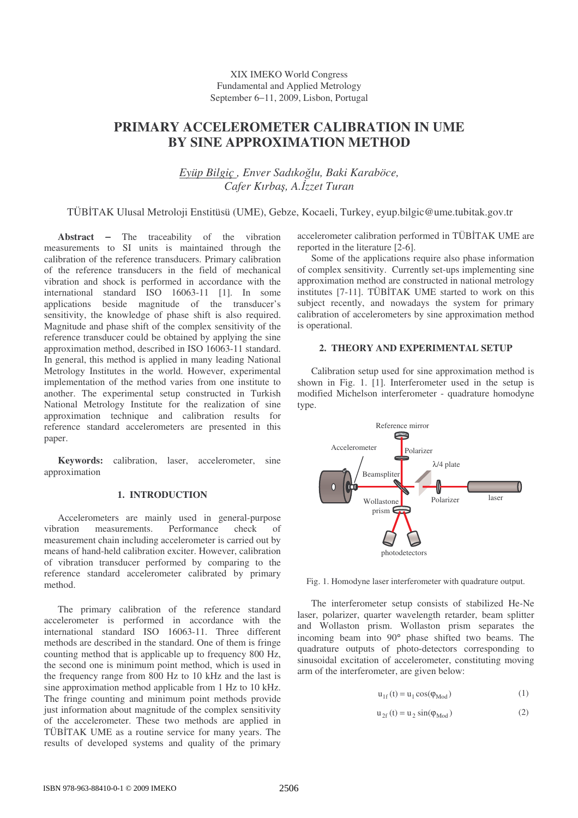# **PRIMARY ACCELEROMETER CALIBRATION IN UME BY SINE APPROXIMATION METHOD**

*Eyüp Bilgiç , Enver Sadıkolu, Baki Karaböce, Cafer Kırba*-*, A.zzet Turan*

TÜBTAK Ulusal Metroloji Enstitüsü (UME), Gebze, Kocaeli, Turkey, eyup.bilgic@ume.tubitak.gov.tr

**Abstract** − The traceability of the vibration measurements to SI units is maintained through the calibration of the reference transducers. Primary calibration of the reference transducers in the field of mechanical vibration and shock is performed in accordance with the international standard ISO 16063-11 [1]. In some applications beside magnitude of the transducer's sensitivity, the knowledge of phase shift is also required. Magnitude and phase shift of the complex sensitivity of the reference transducer could be obtained by applying the sine approximation method, described in ISO 16063-11 standard. In general, this method is applied in many leading National Metrology Institutes in the world. However, experimental implementation of the method varies from one institute to another. The experimental setup constructed in Turkish National Metrology Institute for the realization of sine approximation technique and calibration results for reference standard accelerometers are presented in this paper.

**Keywords:** calibration, laser, accelerometer, sine approximation

## **1. INTRODUCTION**

Accelerometers are mainly used in general-purpose vibration measurements. Performance check of measurement chain including accelerometer is carried out by means of hand-held calibration exciter. However, calibration of vibration transducer performed by comparing to the reference standard accelerometer calibrated by primary method.

The primary calibration of the reference standard accelerometer is performed in accordance with the international standard ISO 16063-11. Three different methods are described in the standard. One of them is fringe counting method that is applicable up to frequency 800 Hz, the second one is minimum point method, which is used in the frequency range from 800 Hz to 10 kHz and the last is sine approximation method applicable from 1 Hz to 10 kHz. The fringe counting and minimum point methods provide just information about magnitude of the complex sensitivity of the accelerometer. These two methods are applied in TÜBTAK UME as a routine service for many years. The results of developed systems and quality of the primary

accelerometer calibration performed in TÜBTAK UME are reported in the literature [2-6].

Some of the applications require also phase information of complex sensitivity. Currently set-ups implementing sine approximation method are constructed in national metrology institutes [7-11]. TÜBİTAK UME started to work on this subject recently, and nowadays the system for primary calibration of accelerometers by sine approximation method is operational.

## **2. THEORY AND EXPERIMENTAL SETUP**

Calibration setup used for sine approximation method is shown in Fig. 1. [1]. Interferometer used in the setup is modified Michelson interferometer - quadrature homodyne type.



Fig. 1. Homodyne laser interferometer with quadrature output.

The interferometer setup consists of stabilized He-Ne laser, polarizer, quarter wavelength retarder, beam splitter and Wollaston prism. Wollaston prism separates the incoming beam into 90° phase shifted two beams. The quadrature outputs of photo-detectors corresponding to sinusoidal excitation of accelerometer, constituting moving arm of the interferometer, are given below:

$$
u_{1f}(t) = u_1 \cos(\phi_{\text{Mod}})
$$
 (1)

$$
u_{2f}(t) = u_2 \sin(\varphi_{\text{Mod}})
$$
 (2)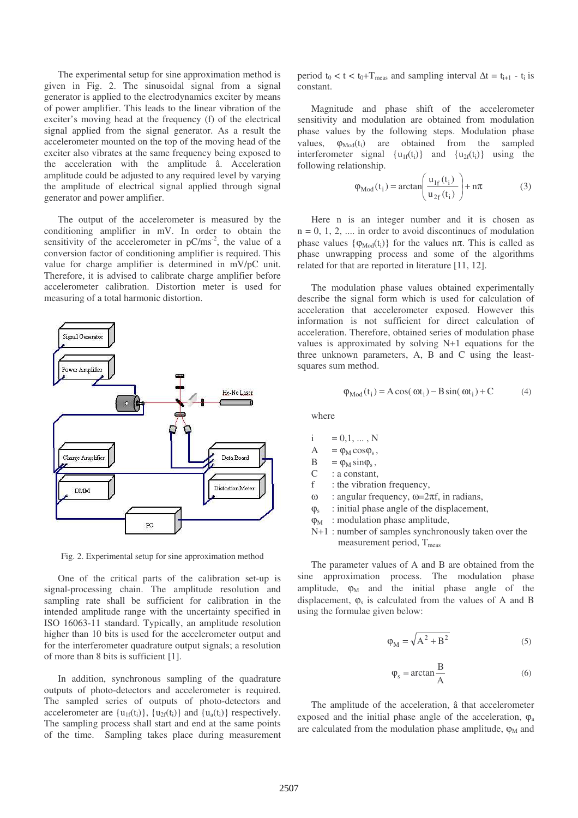The experimental setup for sine approximation method is given in Fig. 2. The sinusoidal signal from a signal generator is applied to the electrodynamics exciter by means of power amplifier. This leads to the linear vibration of the exciter's moving head at the frequency (f) of the electrical signal applied from the signal generator. As a result the accelerometer mounted on the top of the moving head of the exciter also vibrates at the same frequency being exposed to the acceleration with the amplitude â. Acceleration amplitude could be adjusted to any required level by varying the amplitude of electrical signal applied through signal generator and power amplifier.

The output of the accelerometer is measured by the conditioning amplifier in mV. In order to obtain the sensitivity of the accelerometer in  $pC/ms^{-2}$ , the value of a conversion factor of conditioning amplifier is required. This value for charge amplifier is determined in mV/pC unit. Therefore, it is advised to calibrate charge amplifier before accelerometer calibration. Distortion meter is used for measuring of a total harmonic distortion.



Fig. 2. Experimental setup for sine approximation method

One of the critical parts of the calibration set-up is signal-processing chain. The amplitude resolution and sampling rate shall be sufficient for calibration in the intended amplitude range with the uncertainty specified in ISO 16063-11 standard. Typically, an amplitude resolution higher than 10 bits is used for the accelerometer output and for the interferometer quadrature output signals; a resolution of more than 8 bits is sufficient [1].

In addition, synchronous sampling of the quadrature outputs of photo-detectors and accelerometer is required. The sampled series of outputs of photo-detectors and accelerometer are  $\{u_{1f}(t_i)\}\$ ,  $\{u_{2f}(t_i)\}$  and  $\{u_a(t_i)\}$  respectively. The sampling process shall start and end at the same points of the time. Sampling takes place during measurement

period  $t_0 < t < t_0+T_{meas}$  and sampling interval  $\Delta t = t_{i+1} - t_i$  is constant.

Magnitude and phase shift of the accelerometer sensitivity and modulation are obtained from modulation phase values by the following steps. Modulation phase values,  $\varphi_{\text{Mod}}(t_i)$  are obtained from the sampled interferometer signal  $\{u_{1f}(t_i)\}$  and  $\{u_{2f}(t_i)\}$  using the following relationship.

$$
\varphi_{\text{Mod}}(t_i) = \arctan\left(\frac{u_{1f}(t_i)}{u_{2f}(t_i)}\right) + n\pi
$$
\n(3)

Here n is an integer number and it is chosen as  $n = 0, 1, 2, \ldots$  in order to avoid discontinues of modulation phase values  $\{\varphi_{\text{Mod}}(t_i)\}\$  for the values n $\pi$ . This is called as phase unwrapping process and some of the algorithms related for that are reported in literature [11, 12].

The modulation phase values obtained experimentally describe the signal form which is used for calculation of acceleration that accelerometer exposed. However this information is not sufficient for direct calculation of acceleration. Therefore, obtained series of modulation phase values is approximated by solving N+1 equations for the three unknown parameters, A, B and C using the leastsquares sum method.

$$
\varphi_{\text{Mod}}(t_i) = A \cos(\omega t_i) - B \sin(\omega t_i) + C \tag{4}
$$

where

- $i = 0, 1, ..., N$
- $A = \varphi_M \cos \varphi_s,$
- $B = \varphi_M \sin \varphi_s$ ,
- C : a constant,
- f : the vibration frequency,
- ω : angular frequency,  $ω=2πf$ , in radians,
- $\Omega$ <sub>s</sub> : initial phase angle of the displacement,
- $\varphi_M$ : modulation phase amplitude,
- N+1 : number of samples synchronously taken over the measurement period,  $T_{meas}$

The parameter values of A and B are obtained from the sine approximation process. The modulation phase amplitude,  $\varphi_M$  and the initial phase angle of the displacement,  $\varphi_s$  is calculated from the values of A and B using the formulae given below:

$$
\varphi_M = \sqrt{A^2 + B^2} \tag{5}
$$

$$
\varphi_{\rm s} = \arctan\frac{\rm B}{\rm A} \tag{6}
$$

The amplitude of the acceleration, â that accelerometer exposed and the initial phase angle of the acceleration,  $\varphi$ <sub>a</sub> are calculated from the modulation phase amplitude,  $\varphi_M$  and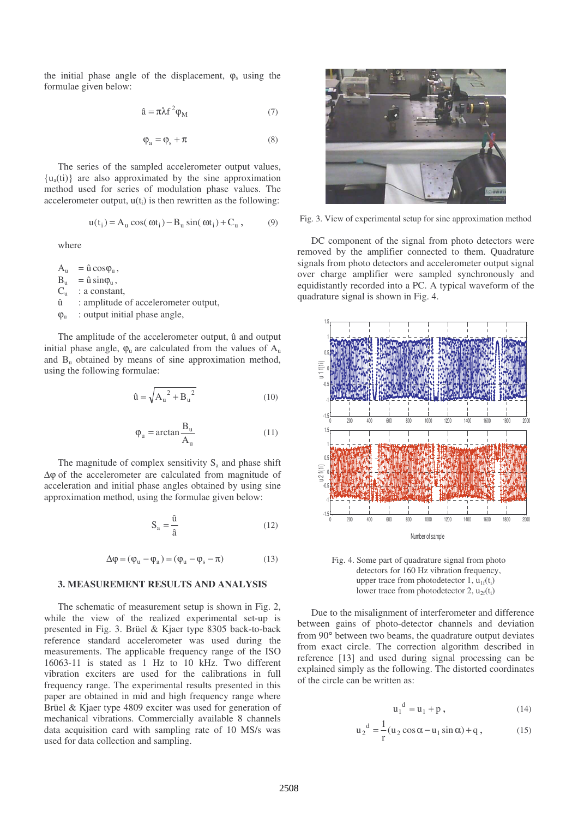the initial phase angle of the displacement,  $\varphi_s$  using the formulae given below:

$$
\hat{a} = \pi \lambda f^2 \varphi_M \tag{7}
$$

$$
\varphi_a = \varphi_s + \pi \tag{8}
$$

The series of the sampled accelerometer output values,  $\{u_a(t)\}\$ are also approximated by the sine approximation method used for series of modulation phase values. The accelerometer output,  $u(t)$  is then rewritten as the following:

$$
u(ti) = Au cos(\omega ti) - Bu sin(\omega ti) + Cu, \qquad (9)
$$

where

 $A_u = \hat{u} \cos \varphi_u$ ,  $B_u = \hat{u} \sin \varphi_u$ ,  $C_u$  : a constant,<br> $\hat{u}$  : amplitude : amplitude of accelerometer output,  $\varphi_u$  : output initial phase angle,

The amplitude of the accelerometer output, û and output initial phase angle,  $\varphi_u$  are calculated from the values of  $A_u$ and  $B<sub>u</sub>$  obtained by means of sine approximation method, using the following formulae:

$$
\hat{\mathbf{u}} = \sqrt{A_u^2 + B_u^2}
$$
 (10)

$$
\varphi_{u} = \arctan \frac{B_{u}}{A_{u}} \tag{11}
$$

The magnitude of complex sensitivity  $S_a$  and phase shift ∆ϕ of the accelerometer are calculated from magnitude of acceleration and initial phase angles obtained by using sine approximation method, using the formulae given below:

$$
S_a = \frac{\hat{u}}{\hat{a}}\tag{12}
$$

$$
\Delta \phi = (\phi_u - \phi_a) = (\phi_u - \phi_s - \pi) \tag{13}
$$

#### **3. MEASUREMENT RESULTS AND ANALYSIS**

The schematic of measurement setup is shown in Fig. 2, while the view of the realized experimental set-up is presented in Fig. 3. Brüel & Kjaer type 8305 back-to-back reference standard accelerometer was used during the measurements. The applicable frequency range of the ISO 16063-11 is stated as 1 Hz to 10 kHz. Two different vibration exciters are used for the calibrations in full frequency range. The experimental results presented in this paper are obtained in mid and high frequency range where Brüel & Kjaer type 4809 exciter was used for generation of mechanical vibrations. Commercially available 8 channels data acquisition card with sampling rate of 10 MS/s was used for data collection and sampling.



Fig. 3. View of experimental setup for sine approximation method

DC component of the signal from photo detectors were removed by the amplifier connected to them. Quadrature signals from photo detectors and accelerometer output signal over charge amplifier were sampled synchronously and equidistantly recorded into a PC. A typical waveform of the quadrature signal is shown in Fig. 4.



Fig. 4. Some part of quadrature signal from photo detectors for 160 Hz vibration frequency. upper trace from photodetector  $1$ ,  $u_{1f}(t_i)$ lower trace from photodetector 2,  $u_{2f}(t_i)$ 

Due to the misalignment of interferometer and difference between gains of photo-detector channels and deviation from 90° between two beams, the quadrature output deviates from exact circle. The correction algorithm described in reference [13] and used during signal processing can be explained simply as the following. The distorted coordinates of the circle can be written as:

$$
u_1^d = u_1 + p \t\t(14)
$$

$$
u_2^d = \frac{1}{r} (u_2 \cos \alpha - u_1 \sin \alpha) + q, \qquad (15)
$$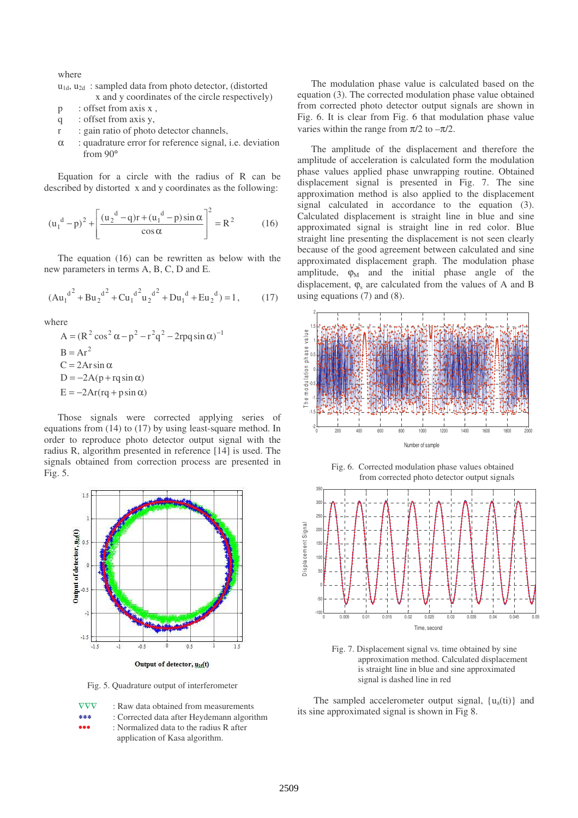where

| $u_{1d}$ , $u_{2d}$ : sampled data from photo detector, (distorted |
|--------------------------------------------------------------------|
| x and y coordinates of the circle respectively)                    |

- p : offset from axis x,
- q : offset from axis y,
- r : gain ratio of photo detector channels,
- α : quadrature error for reference signal, i.e. deviation from 90°

Equation for a circle with the radius of R can be described by distorted x and y coordinates as the following:

$$
(u_1^d - p)^2 + \left[ \frac{(u_2^d - q)r + (u_1^d - p)\sin \alpha}{\cos \alpha} \right]^2 = R^2
$$
 (16)

The equation (16) can be rewritten as below with the new parameters in terms A, B, C, D and E.

$$
(Au_1^{d^2} + Bu_2^{d^2} + Cu_1^{d^2}u_2^{d^2} + Du_1^{d} + Eu_2^{d}) = 1, \qquad (17)
$$

where

$$
A = (R2 cos2 \alpha - p2 - r2 q2 - 2rpq sin \alpha)-1
$$
  
\nB = Ar<sup>2</sup>  
\nC = 2Arsin  $\alpha$   
\nD = -2A(p + rq sin \alpha)  
\nE = -2Ar(rq + psin \alpha)

Those signals were corrected applying series of equations from (14) to (17) by using least-square method. In order to reproduce photo detector output signal with the radius R, algorithm presented in reference [14] is used. The signals obtained from correction process are presented in Fig. 5.



Fig. 5. Quadrature output of interferometer

- ∇∇∇ : Raw data obtained from measurements
- ∗∗∗ : Corrected data after Heydemann algorithm
- ••• : Normalized data to the radius R after
	- application of Kasa algorithm.

The modulation phase value is calculated based on the equation (3). The corrected modulation phase value obtained from corrected photo detector output signals are shown in Fig. 6. It is clear from Fig. 6 that modulation phase value varies within the range from  $\pi/2$  to  $-\pi/2$ .

The amplitude of the displacement and therefore the amplitude of acceleration is calculated form the modulation phase values applied phase unwrapping routine. Obtained displacement signal is presented in Fig. 7. The sine approximation method is also applied to the displacement signal calculated in accordance to the equation (3). Calculated displacement is straight line in blue and sine approximated signal is straight line in red color. Blue straight line presenting the displacement is not seen clearly because of the good agreement between calculated and sine approximated displacement graph. The modulation phase amplitude,  $\varphi_M$  and the initial phase angle of the displacement,  $\varphi_s$  are calculated from the values of A and B using equations (7) and (8).



Fig. 6. Corrected modulation phase values obtained from corrected photo detector output signals



Fig. 7. Displacement signal vs. time obtained by sine approximation method. Calculated displacement is straight line in blue and sine approximated signal is dashed line in red

The sampled accelerometer output signal,  $\{u_a(t)\}\$ and its sine approximated signal is shown in Fig 8.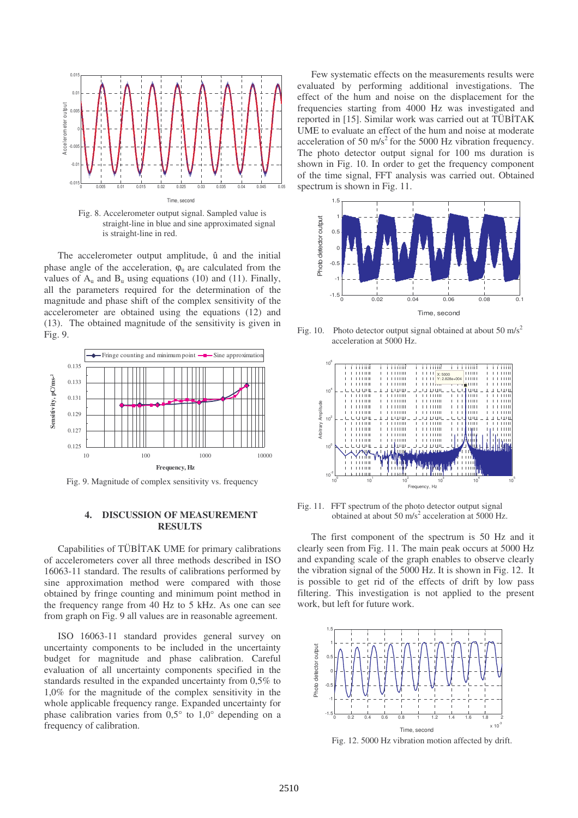

Fig. 8. Accelerometer output signal. Sampled value is straight-line in blue and sine approximated signal is straight-line in red.

The accelerometer output amplitude, û and the initial phase angle of the acceleration,  $\varphi_{\mu}$  are calculated from the values of  $A_u$  and  $B_u$  using equations (10) and (11). Finally, all the parameters required for the determination of the magnitude and phase shift of the complex sensitivity of the accelerometer are obtained using the equations (12) and (13). The obtained magnitude of the sensitivity is given in Fig. 9.



Fig. 9. Magnitude of complex sensitivity vs. frequency

### **4. DISCUSSION OF MEASUREMENT RESULTS**

Capabilities of TÜBTAK UME for primary calibrations of accelerometers cover all three methods described in ISO 16063-11 standard. The results of calibrations performed by sine approximation method were compared with those obtained by fringe counting and minimum point method in the frequency range from 40 Hz to 5 kHz. As one can see from graph on Fig. 9 all values are in reasonable agreement.

ISO 16063-11 standard provides general survey on uncertainty components to be included in the uncertainty budget for magnitude and phase calibration. Careful evaluation of all uncertainty components specified in the standards resulted in the expanded uncertainty from 0,5% to 1,0% for the magnitude of the complex sensitivity in the whole applicable frequency range. Expanded uncertainty for phase calibration varies from 0,5° to 1,0° depending on a frequency of calibration.

Few systematic effects on the measurements results were evaluated by performing additional investigations. The effect of the hum and noise on the displacement for the frequencies starting from 4000 Hz was investigated and reported in [15]. Similar work was carried out at TÜBTAK UME to evaluate an effect of the hum and noise at moderate acceleration of 50 m/s<sup>2</sup> for the 5000 Hz vibration frequency. The photo detector output signal for 100 ms duration is shown in Fig. 10. In order to get the frequency component of the time signal, FFT analysis was carried out. Obtained spectrum is shown in Fig. 11.



Fig. 10. Photo detector output signal obtained at about 50 m/s<sup>2</sup> acceleration at 5000 Hz.



Fig. 11. FFT spectrum of the photo detector output signal obtained at about 50 m/s 2 acceleration at 5000 Hz.

The first component of the spectrum is 50 Hz and it clearly seen from Fig. 11. The main peak occurs at 5000 Hz and expanding scale of the graph enables to observe clearly the vibration signal of the 5000 Hz. It is shown in Fig. 12. It is possible to get rid of the effects of drift by low pass filtering. This investigation is not applied to the present work, but left for future work.



Fig. 12. 5000 Hz vibration motion affected by drift.